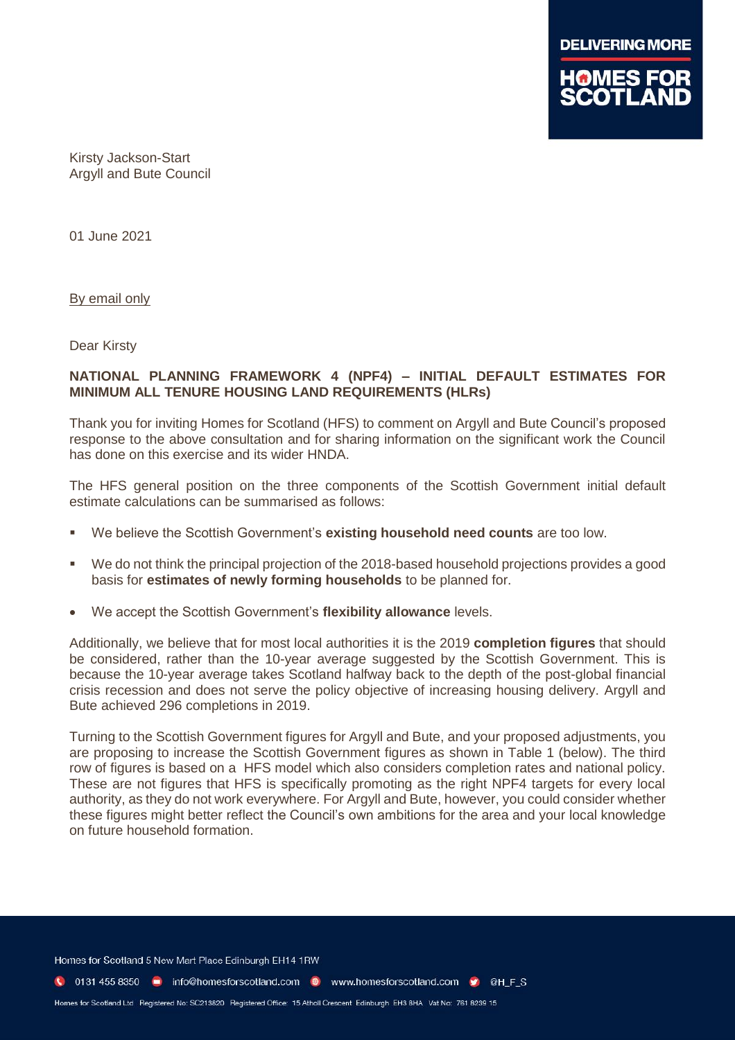

Kirsty Jackson-Start Argyll and Bute Council

01 June 2021

By email only

Dear Kirsty

## **NATIONAL PLANNING FRAMEWORK 4 (NPF4) – INITIAL DEFAULT ESTIMATES FOR MINIMUM ALL TENURE HOUSING LAND REQUIREMENTS (HLRs)**

Thank you for inviting Homes for Scotland (HFS) to comment on Argyll and Bute Council's proposed response to the above consultation and for sharing information on the significant work the Council has done on this exercise and its wider HNDA.

The HFS general position on the three components of the Scottish Government initial default estimate calculations can be summarised as follows:

- We believe the Scottish Government's **existing household need counts** are too low.
- We do not think the principal projection of the 2018-based household projections provides a good basis for **estimates of newly forming households** to be planned for.
- We accept the Scottish Government's **flexibility allowance** levels.

Additionally, we believe that for most local authorities it is the 2019 **completion figures** that should be considered, rather than the 10-year average suggested by the Scottish Government. This is because the 10-year average takes Scotland halfway back to the depth of the post-global financial crisis recession and does not serve the policy objective of increasing housing delivery. Argyll and Bute achieved 296 completions in 2019.

Turning to the Scottish Government figures for Argyll and Bute, and your proposed adjustments, you are proposing to increase the Scottish Government figures as shown in Table 1 (below). The third row of figures is based on a HFS model which also considers completion rates and national policy. These are not figures that HFS is specifically promoting as the right NPF4 targets for every local authority, as they do not work everywhere. For Argyll and Bute, however, you could consider whether these figures might better reflect the Council's own ambitions for the area and your local knowledge on future household formation.

Homes for Scotland 5 New Mart Place Edinburgh EH14 1RW

C 0131 455 8350 m info@homesforscotland.com · www.homesforscotland.com • ©HFS

Homes for Scotland Ltd Registered No: SC213820 Registered Office: 15 Atholl Crescent Edinburgh EH3 8HA Vat No: 761 8239 15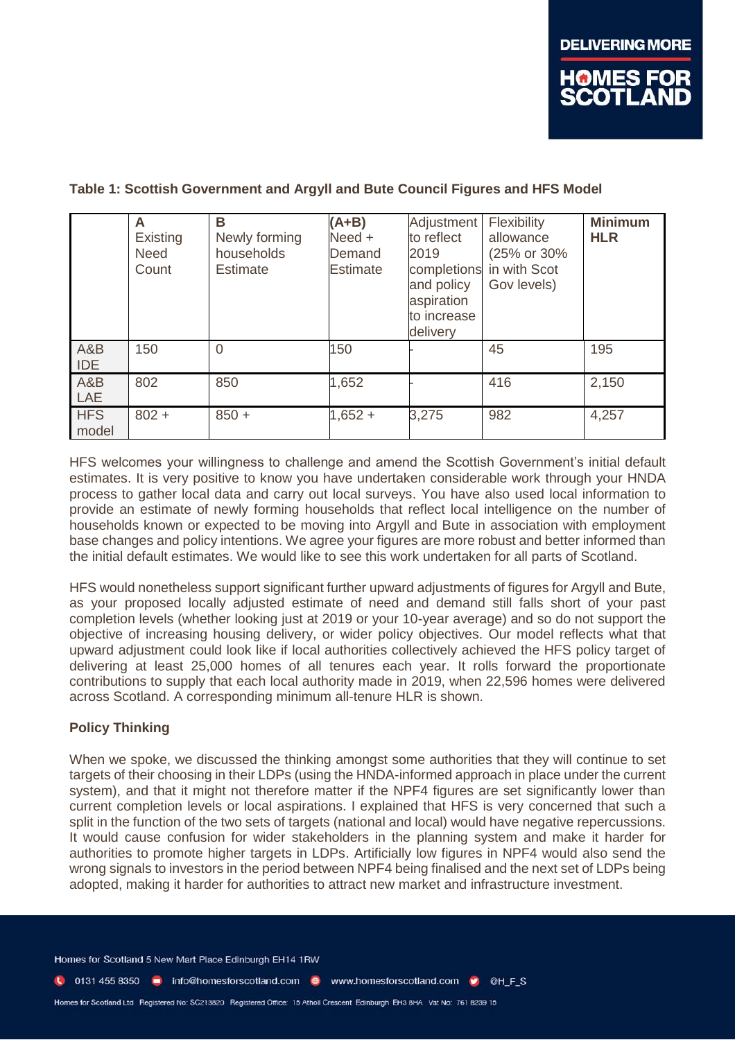## **Table 1: Scottish Government and Argyll and Bute Council Figures and HFS Model**

|                     | A<br><b>Existing</b><br><b>Need</b><br>Count | B<br>Newly forming<br>households<br><b>Estimate</b> | $(A+B)$<br>Need +<br>Demand<br><b>Estimate</b> | Adjustment<br>to reflect<br>2019<br>completions<br>and policy<br>aspiration<br>to increase<br>delivery | Flexibility<br>allowance<br>(25% or 30%<br>in with Scot<br>Gov levels) | <b>Minimum</b><br><b>HLR</b> |
|---------------------|----------------------------------------------|-----------------------------------------------------|------------------------------------------------|--------------------------------------------------------------------------------------------------------|------------------------------------------------------------------------|------------------------------|
| A&B<br><b>IDE</b>   | 150                                          | 0                                                   | 150                                            |                                                                                                        | 45                                                                     | 195                          |
| A&B<br>LAE          | 802                                          | 850                                                 | 1,652                                          |                                                                                                        | 416                                                                    | 2,150                        |
| <b>HFS</b><br>model | $802 +$                                      | $850 +$                                             | $1,652 +$                                      | 3,275                                                                                                  | 982                                                                    | 4,257                        |

HFS welcomes your willingness to challenge and amend the Scottish Government's initial default estimates. It is very positive to know you have undertaken considerable work through your HNDA process to gather local data and carry out local surveys. You have also used local information to provide an estimate of newly forming households that reflect local intelligence on the number of households known or expected to be moving into Argyll and Bute in association with employment base changes and policy intentions. We agree your figures are more robust and better informed than the initial default estimates. We would like to see this work undertaken for all parts of Scotland.

HFS would nonetheless support significant further upward adjustments of figures for Argyll and Bute, as your proposed locally adjusted estimate of need and demand still falls short of your past completion levels (whether looking just at 2019 or your 10-year average) and so do not support the objective of increasing housing delivery, or wider policy objectives. Our model reflects what that upward adjustment could look like if local authorities collectively achieved the HFS policy target of delivering at least 25,000 homes of all tenures each year. It rolls forward the proportionate contributions to supply that each local authority made in 2019, when 22,596 homes were delivered across Scotland. A corresponding minimum all-tenure HLR is shown.

## **Policy Thinking**

When we spoke, we discussed the thinking amongst some authorities that they will continue to set targets of their choosing in their LDPs (using the HNDA-informed approach in place under the current system), and that it might not therefore matter if the NPF4 figures are set significantly lower than current completion levels or local aspirations. I explained that HFS is very concerned that such a split in the function of the two sets of targets (national and local) would have negative repercussions. It would cause confusion for wider stakeholders in the planning system and make it harder for authorities to promote higher targets in LDPs. Artificially low figures in NPF4 would also send the wrong signals to investors in the period between NPF4 being finalised and the next set of LDPs being adopted, making it harder for authorities to attract new market and infrastructure investment.

Homes for Scotland 5 New Mart Place Edinburgh EH14 1RW

C 0131 455 8350 C info@homesforscotland.com C www.homesforscotland.com C @H\_F\_S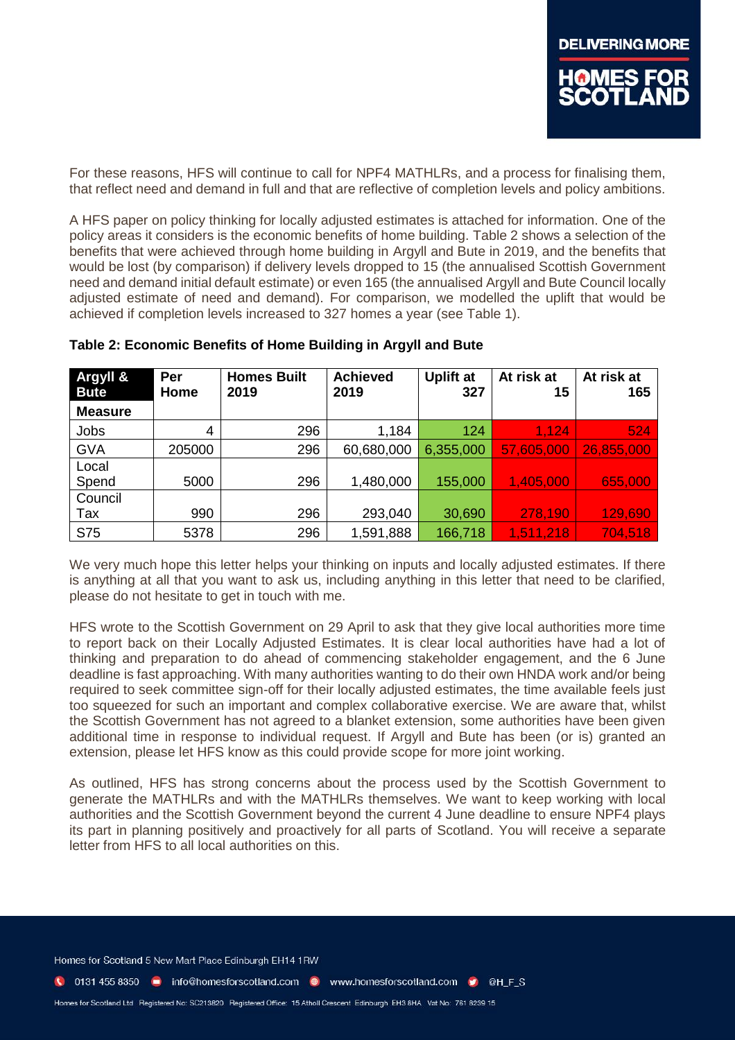For these reasons, HFS will continue to call for NPF4 MATHLRs, and a process for finalising them, that reflect need and demand in full and that are reflective of completion levels and policy ambitions.

A HFS paper on policy thinking for locally adjusted estimates is attached for information. One of the policy areas it considers is the economic benefits of home building. Table 2 shows a selection of the benefits that were achieved through home building in Argyll and Bute in 2019, and the benefits that would be lost (by comparison) if delivery levels dropped to 15 (the annualised Scottish Government need and demand initial default estimate) or even 165 (the annualised Argyll and Bute Council locally adjusted estimate of need and demand). For comparison, we modelled the uplift that would be achieved if completion levels increased to 327 homes a year (see Table 1).

| Argyll &<br><b>Bute</b> | Per<br>Home | <b>Homes Built</b><br>2019 | <b>Achieved</b><br>2019 | <b>Uplift at</b><br>327 | At risk at<br>15 | At risk at<br>165 |
|-------------------------|-------------|----------------------------|-------------------------|-------------------------|------------------|-------------------|
| <b>Measure</b>          |             |                            |                         |                         |                  |                   |
| Jobs                    | 4           | 296                        | 1,184                   | 124                     | 1,124            | 524               |
| <b>GVA</b>              | 205000      | 296                        | 60,680,000              | 6,355,000               | 57,605,000       | 26,855,000        |
| Local                   |             |                            |                         |                         |                  |                   |
| Spend                   | 5000        | 296                        | 1,480,000               | 155,000                 | 1,405,000        | 655,000           |
| Council                 |             |                            |                         |                         |                  |                   |
| Tax                     | 990         | 296                        | 293,040                 | 30,690                  | 278,190          | 129,690           |
| <b>S75</b>              | 5378        | 296                        | 1,591,888               | 166,718                 | 1,511,218        | 704,518           |

## **Table 2: Economic Benefits of Home Building in Argyll and Bute**

We very much hope this letter helps your thinking on inputs and locally adjusted estimates. If there is anything at all that you want to ask us, including anything in this letter that need to be clarified, please do not hesitate to get in touch with me.

HFS wrote to the Scottish Government on 29 April to ask that they give local authorities more time to report back on their Locally Adjusted Estimates. It is clear local authorities have had a lot of thinking and preparation to do ahead of commencing stakeholder engagement, and the 6 June deadline is fast approaching. With many authorities wanting to do their own HNDA work and/or being required to seek committee sign-off for their locally adjusted estimates, the time available feels just too squeezed for such an important and complex collaborative exercise. We are aware that, whilst the Scottish Government has not agreed to a blanket extension, some authorities have been given additional time in response to individual request. If Argyll and Bute has been (or is) granted an extension, please let HFS know as this could provide scope for more joint working.

As outlined, HFS has strong concerns about the process used by the Scottish Government to generate the MATHLRs and with the MATHLRs themselves. We want to keep working with local authorities and the Scottish Government beyond the current 4 June deadline to ensure NPF4 plays its part in planning positively and proactively for all parts of Scotland. You will receive a separate letter from HFS to all local authorities on this.

Homes for Scotland 5 New Mart Place Edinburgh EH14 1RW

C 0131 455 8350 m info@homesforscotland.com . www.homesforscotland.com . @ @H F S